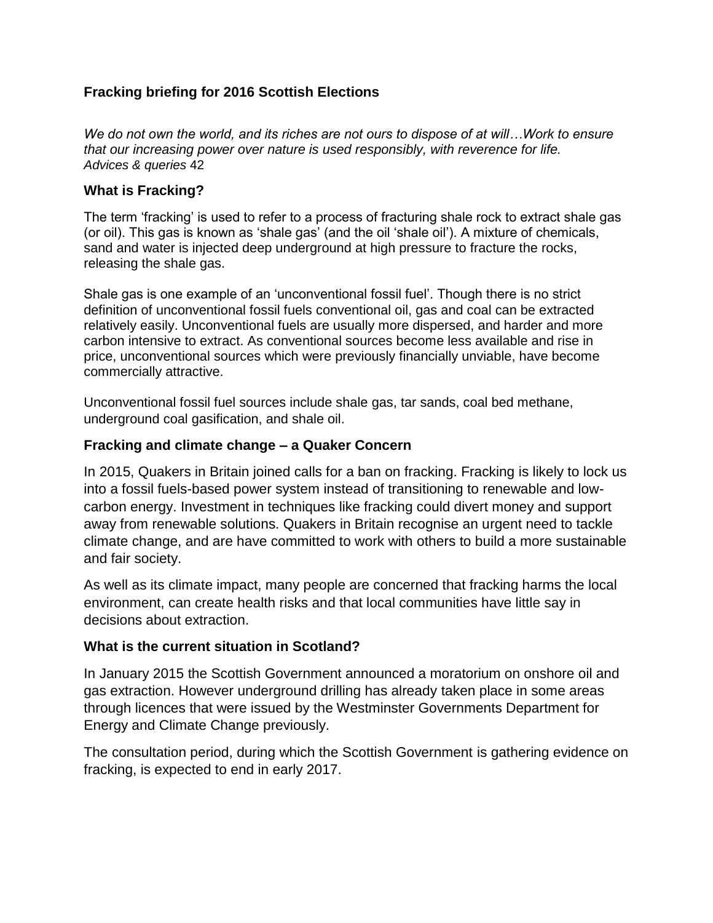# **Fracking briefing for 2016 Scottish Elections**

*We do not own the world, and its riches are not ours to dispose of at will…Work to ensure that our increasing power over nature is used responsibly, with reverence for life. Advices & queries* 42

# **What is Fracking?**

The term 'fracking' is used to refer to a process of fracturing shale rock to extract shale gas (or oil). This gas is known as 'shale gas' (and the oil 'shale oil'). A mixture of chemicals, sand and water is injected deep underground at high pressure to fracture the rocks, releasing the shale gas.

Shale gas is one example of an 'unconventional fossil fuel'. Though there is no strict definition of unconventional fossil fuels conventional oil, gas and coal can be extracted relatively easily. Unconventional fuels are usually more dispersed, and harder and more carbon intensive to extract. As conventional sources become less available and rise in price, unconventional sources which were previously financially unviable, have become commercially attractive.

Unconventional fossil fuel sources include shale gas, tar sands, coal bed methane, underground coal gasification, and shale oil.

## **Fracking and climate change – a Quaker Concern**

In 2015, Quakers in Britain joined calls for a ban on fracking. Fracking is likely to lock us into a fossil fuels-based power system instead of transitioning to renewable and lowcarbon energy. Investment in techniques like fracking could divert money and support away from renewable solutions. Quakers in Britain recognise an urgent need to tackle climate change, and are have committed to work with others to build a more sustainable and fair society.

As well as its climate impact, many people are concerned that fracking harms the local environment, can create health risks and that local communities have little say in decisions about extraction.

## **What is the current situation in Scotland?**

In January 2015 the Scottish Government announced a moratorium on onshore oil and gas extraction. However underground drilling has already taken place in some areas through licences that were issued by the Westminster Governments Department for Energy and Climate Change previously.

The consultation period, during which the Scottish Government is gathering evidence on fracking, is expected to end in early 2017.